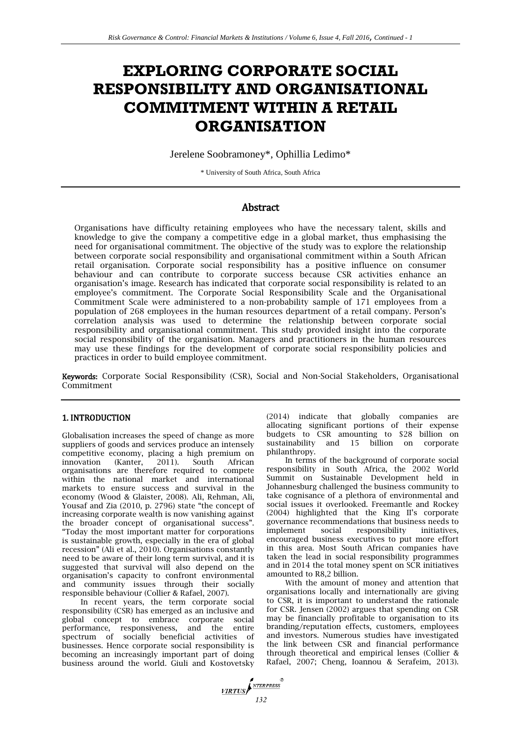# **EXPLORING CORPORATE SOCIAL RESPONSIBILITY AND ORGANISATIONAL COMMITMENT WITHIN A RETAIL ORGANISATION**

Jerelene Soobramoney\*, Ophillia Ledimo\*

\* University of South Africa, South Africa

# **Abstract**

Organisations have difficulty retaining employees who have the necessary talent, skills and knowledge to give the company a competitive edge in a global market, thus emphasising the need for organisational commitment. The objective of the study was to explore the relationship between corporate social responsibility and organisational commitment within a South African retail organisation. Corporate social responsibility has a positive influence on consumer behaviour and can contribute to corporate success because CSR activities enhance an organisation's image. Research has indicated that corporate social responsibility is related to an employee's commitment. The Corporate Social Responsibility Scale and the Organisational Commitment Scale were administered to a non-probability sample of 171 employees from a population of 268 employees in the human resources department of a retail company. Person's correlation analysis was used to determine the relationship between corporate social responsibility and organisational commitment. This study provided insight into the corporate social responsibility of the organisation. Managers and practitioners in the human resources may use these findings for the development of corporate social responsibility policies and practices in order to build employee commitment.

Keywords: Corporate Social Responsibility (CSR), Social and Non-Social Stakeholders, Organisational Commitment

# 1. INTRODUCTION

Globalisation increases the speed of change as more suppliers of goods and services produce an intensely competitive economy, placing a high premium on<br>innovation (Kanter, 2011). South African innovation (Kanter, 2011). South African organisations are therefore required to compete within the national market and international markets to ensure success and survival in the economy (Wood & Glaister, 2008). Ali, Rehman, Ali, Yousaf and Zia (2010, p. 2796) state "the concept of increasing corporate wealth is now vanishing against the broader concept of organisational success". "Today the most important matter for corporations is sustainable growth, especially in the era of global recession" (Ali et al., 2010). Organisations constantly need to be aware of their long term survival, and it is suggested that survival will also depend on the organisation's capacity to confront environmental and community issues through their socially responsible behaviour (Collier & Rafael, 2007).

In recent years, the term corporate social responsibility (CSR) has emerged as an inclusive and global concept to embrace corporate social performance, responsiveness, and the entire spectrum of socially beneficial activities of businesses. Hence corporate social responsibility is becoming an increasingly important part of doing business around the world. Giuli and Kostovetsky (2014) indicate that globally companies are allocating significant portions of their expense budgets to CSR amounting to \$28 billion on sustainability and 15 billion on corporate philanthropy.

In terms of the background of corporate social responsibility in South Africa, the 2002 World Summit on Sustainable Development held in Johannesburg challenged the business community to take cognisance of a plethora of environmental and social issues it overlooked. Freemantle and Rockey (2004) highlighted that the King II's corporate governance recommendations that business needs to implement social responsibility encouraged business executives to put more effort in this area. Most South African companies have taken the lead in social responsibility programmes and in 2014 the total money spent on SCR initiatives amounted to R8,2 billion.

With the amount of money and attention that organisations locally and internationally are giving to CSR, it is important to understand the rationale for CSR. Jensen (2002) argues that spending on CSR may be financially profitable to organisation to its branding/reputation effects, customers, employees and investors. Numerous studies have investigated the link between CSR and financial performance through theoretical and empirical lenses (Collier & Rafael, 2007; Cheng, Ioannou & Serafeim, 2013).

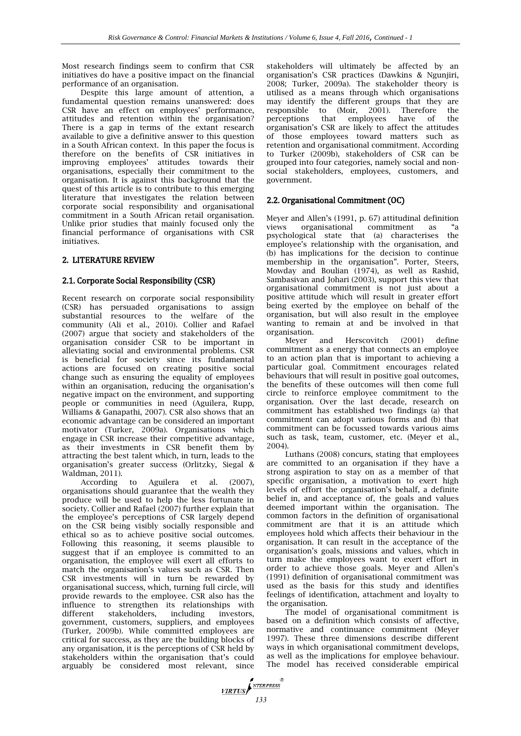Most research findings seem to confirm that CSR initiatives do have a positive impact on the financial performance of an organisation.

Despite this large amount of attention, a fundamental question remains unanswered: does CSR have an effect on employees' performance, attitudes and retention within the organisation? There is a gap in terms of the extant research available to give a definitive answer to this question in a South African context. In this paper the focus is therefore on the benefits of CSR initiatives in improving employees' attitudes towards their organisations, especially their commitment to the organisation. It is against this background that the quest of this article is to contribute to this emerging literature that investigates the relation between corporate social responsibility and organisational commitment in a South African retail organisation. Unlike prior studies that mainly focused only the financial performance of organisations with CSR initiatives.

# 2. LITERATURE REVIEW

# 2.1. Corporate Social Responsibility (CSR)

Recent research on corporate social responsibility (CSR) has persuaded organisations to assign substantial resources to the welfare of the community (Ali et al., 2010). Collier and Rafael (2007) argue that society and stakeholders of the organisation consider CSR to be important in alleviating social and environmental problems. CSR is beneficial for society since its fundamental actions are focused on creating positive social change such as ensuring the equality of employees within an organisation, reducing the organisation's negative impact on the environment, and supporting people or communities in need (Aguilera, Rupp, Williams & Ganapathi, 2007). CSR also shows that an economic advantage can be considered an important motivator (Turker, 2009a). Organisations which engage in CSR increase their competitive advantage, as their investments in CSR benefit them by attracting the best talent which, in turn, leads to the organisation's greater success (Orlitzky, Siegal & Waldman, 2011).

According to Aguilera et al. (2007), organisations should guarantee that the wealth they produce will be used to help the less fortunate in society. Collier and Rafael (2007) further explain that the employee's perceptions of CSR largely depend on the CSR being visibly socially responsible and ethical so as to achieve positive social outcomes. Following this reasoning, it seems plausible to suggest that if an employee is committed to an organisation, the employee will exert all efforts to match the organisation's values such as CSR. Then CSR investments will in turn be rewarded by organisational success, which, turning full circle, will provide rewards to the employee. CSR also has the influence to strengthen its relationships with different stakeholders, including investors, government, customers, suppliers, and employees (Turker, 2009b). While committed employees are critical for success, as they are the building blocks of any organisation, it is the perceptions of CSR held by stakeholders within the organisation that's could arguably be considered most relevant, since stakeholders will ultimately be affected by an organisation's CSR practices (Dawkins & Ngunjiri, 2008; Turker, 2009a). The stakeholder theory is utilised as a means through which organisations may identify the different groups that they are responsible to (Moir, 2001). Therefore the perceptions that employees have of the organisation's CSR are likely to affect the attitudes of those employees toward matters such as retention and organisational commitment. According to Turker (2009b), stakeholders of CSR can be grouped into four categories, namely social and nonsocial stakeholders, employees, customers, and government.

## 2.2. Organisational Commitment (OC)

Meyer and Allen's (1991, p. 67) attitudinal definition views organisational commitment as "a psychological state that (a) characterises the employee's relationship with the organisation, and (b) has implications for the decision to continue membership in the organisation". Porter, Steers, Mowday and Boulian (1974), as well as Rashid, Sambasivan and Johari (2003), support this view that organisational commitment is not just about a positive attitude which will result in greater effort being exerted by the employee on behalf of the organisation, but will also result in the employee wanting to remain at and be involved in that organisation.

Meyer and Herscovitch (2001) define commitment as a energy that connects an employee to an action plan that is important to achieving a particular goal. Commitment encourages related behaviours that will result in positive goal outcomes, the benefits of these outcomes will then come full circle to reinforce employee commitment to the organisation. Over the last decade, research on commitment has established two findings (a) that commitment can adopt various forms and (b) that commitment can be focussed towards various aims such as task, team, customer, etc. (Meyer et al., 2004).

Luthans (2008) concurs, stating that employees are committed to an organisation if they have a strong aspiration to stay on as a member of that specific organisation, a motivation to exert high levels of effort the organisation's behalf, a definite belief in, and acceptance of, the goals and values deemed important within the organisation. The common factors in the definition of organisational commitment are that it is an attitude which employees hold which affects their behaviour in the organisation. It can result in the acceptance of the organisation's goals, missions and values, which in turn make the employees want to exert effort in order to achieve those goals. Meyer and Allen's (1991) definition of organisational commitment was used as the basis for this study and identifies feelings of identification, attachment and loyalty to the organisation.

The model of organisational commitment is based on a definition which consists of affective, normative and continuance commitment (Meyer 1997). These three dimensions describe different ways in which organisational commitment develops, as well as the implications for employee behaviour. The model has received considerable empirical

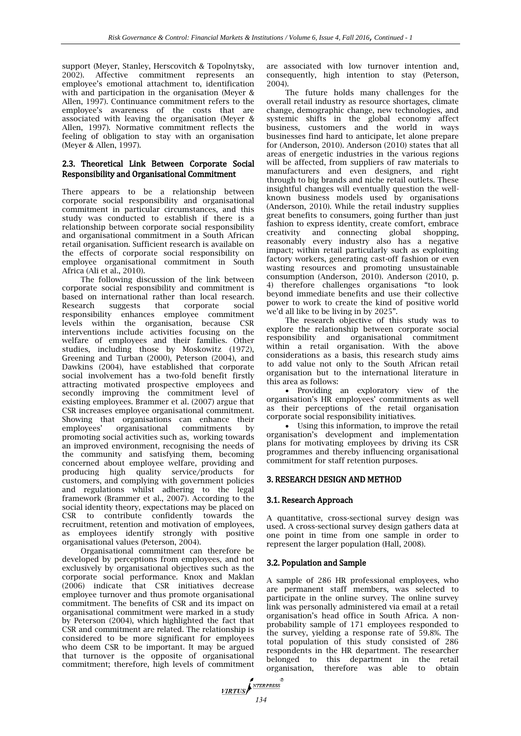support (Meyer, Stanley, Herscovitch & Topolnytsky, 2002). Affective commitment represents an employee's emotional attachment to, identification with and participation in the organisation (Meyer & Allen, 1997). Continuance commitment refers to the employee's awareness of the costs that are associated with leaving the organisation (Meyer & Allen, 1997). Normative commitment reflects the feeling of obligation to stay with an organisation (Meyer & Allen, 1997).

## 2.3. Theoretical Link Between Corporate Social Responsibility and Organisational Commitment

There appears to be a relationship between corporate social responsibility and organisational commitment in particular circumstances, and this study was conducted to establish if there is a relationship between corporate social responsibility and organisational commitment in a South African retail organisation. Sufficient research is available on the effects of corporate social responsibility on employee organisational commitment in South Africa (Ali et al., 2010).

The following discussion of the link between corporate social responsibility and commitment is based on international rather than local research. Research suggests that corporate social responsibility enhances employee commitment levels within the organisation, because CSR interventions include activities focusing on the welfare of employees and their families. Other studies, including those by Moskowitz (1972), Greening and Turban (2000), Peterson (2004), and Dawkins (2004), have established that corporate social involvement has a two-fold benefit firstly attracting motivated prospective employees and secondly improving the commitment level of existing employees. Brammer et al. (2007) argue that CSR increases employee organisational commitment. Showing that organisations can enhance their employees' organisational commitments by promoting social activities such as, working towards an improved environment, recognising the needs of the community and satisfying them, becoming concerned about employee welfare, providing and producing high quality service/products for customers, and complying with government policies and regulations whilst adhering to the legal framework (Brammer et al., 2007). According to the social identity theory, expectations may be placed on CSR to contribute confidently towards the recruitment, retention and motivation of employees, as employees identify strongly with positive organisational values (Peterson, 2004).

Organisational commitment can therefore be developed by perceptions from employees, and not exclusively by organisational objectives such as the corporate social performance. Knox and Maklan (2006) indicate that CSR initiatives decrease employee turnover and thus promote organisational commitment. The benefits of CSR and its impact on organisational commitment were marked in a study by Peterson (2004), which highlighted the fact that CSR and commitment are related. The relationship is considered to be more significant for employees who deem CSR to be important. It may be argued that turnover is the opposite of organisational commitment; therefore, high levels of commitment are associated with low turnover intention and, consequently, high intention to stay (Peterson, 2004).

The future holds many challenges for the overall retail industry as resource shortages, climate change, demographic change, new technologies, and systemic shifts in the global economy affect business, customers and the world in ways businesses find hard to anticipate, let alone prepare for (Anderson, 2010). Anderson (2010) states that all areas of energetic industries in the various regions will be affected, from suppliers of raw materials to manufacturers and even designers, and right through to big brands and niche retail outlets. These insightful changes will eventually question the wellknown business models used by organisations (Anderson, 2010). While the retail industry supplies great benefits to consumers, going further than just fashion to express identity, create comfort, embrace creativity and connecting global shopping, reasonably every industry also has a negative impact; within retail particularly such as exploiting factory workers, generating cast-off fashion or even wasting resources and promoting unsustainable consumption (Anderson, 2010). Anderson (2010, p. 4) therefore challenges organisations "to look beyond immediate benefits and use their collective power to work to create the kind of positive world we'd all like to be living in by 2025".

The research objective of this study was to explore the relationship between corporate social responsibility and organisational commitment within a retail organisation. With the above considerations as a basis, this research study aims to add value not only to the South African retail organisation but to the international literature in this area as follows:

 Providing an exploratory view of the organisation's HR employees' commitments as well as their perceptions of the retail organisation corporate social responsibility initiatives.

 Using this information, to improve the retail organisation's development and implementation plans for motivating employees by driving its CSR programmes and thereby influencing organisational commitment for staff retention purposes.

#### 3. RESEARCH DESIGN AND METHOD

#### 3.1. Research Approach

A quantitative, cross-sectional survey design was used. A cross-sectional survey design gathers data at one point in time from one sample in order to represent the larger population (Hall, 2008).

#### 3.2. Population and Sample

A sample of 286 HR professional employees, who are permanent staff members, was selected to participate in the online survey. The online survey link was personally administered via email at a retail organisation's head office in South Africa. A nonprobability sample of 171 employees responded to the survey, yielding a response rate of 59.8%. The total population of this study consisted of 286 respondents in the HR department. The researcher belonged to this department in the retail organisation, therefore was able to obtain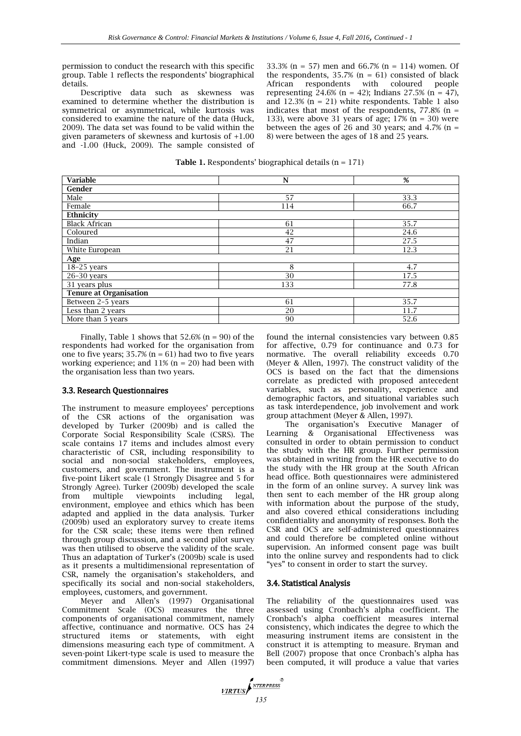permission to conduct the research with this specific group. Table 1 reflects the respondents' biographical details.

Descriptive data such as skewness was examined to determine whether the distribution is symmetrical or asymmetrical, while kurtosis was considered to examine the nature of the data (Huck, 2009). The data set was found to be valid within the given parameters of skewness and kurtosis of +1.00 and -1.00 (Huck, 2009). The sample consisted of 33.3% (n = 57) men and 66.7% (n = 114) women. Of the respondents,  $35.7%$  ( $n = 61$ ) consisted of black<br>African respondents with coloured people African respondents with coloured representing 24.6% (n = 42); Indians 27.5% (n = 47), and 12.3% ( $n = 21$ ) white respondents. Table 1 also indicates that most of the respondents,  $77.8\%$  (n = 133), were above 31 years of age;  $17\%$  (n = 30) were between the ages of 26 and 30 years; and 4.7% ( $n =$ 8) were between the ages of 18 and 25 years.

**Table 1.** Respondents' biographical details  $(n = 171)$ 

| <b>Variable</b>               | N   | %    |  |  |  |  |
|-------------------------------|-----|------|--|--|--|--|
| Gender                        |     |      |  |  |  |  |
| Male                          | 57  | 33.3 |  |  |  |  |
| Female                        | 114 | 66.7 |  |  |  |  |
| Ethnicity                     |     |      |  |  |  |  |
| <b>Black African</b>          | 61  | 35.7 |  |  |  |  |
| Coloured                      | 42  | 24.6 |  |  |  |  |
| Indian                        | 47  | 27.5 |  |  |  |  |
| White European                | 21  | 12.3 |  |  |  |  |
| Age                           |     |      |  |  |  |  |
| 18-25 years                   | 8   | 4.7  |  |  |  |  |
| $26-30$ years                 | 30  | 17.5 |  |  |  |  |
| 31 years plus                 | 133 | 77.8 |  |  |  |  |
| <b>Tenure at Organisation</b> |     |      |  |  |  |  |
| Between 2-5 years             | 61  | 35.7 |  |  |  |  |
| Less than 2 years             | 20  | 11.7 |  |  |  |  |
| More than 5 years             | 90  | 52.6 |  |  |  |  |

Finally, Table 1 shows that  $52.6\%$  (n = 90) of the respondents had worked for the organisation from one to five years;  $35.7\%$  (n = 61) had two to five years working experience; and  $11\%$  (n = 20) had been with the organisation less than two years.

#### 3.3. Research Questionnaires

The instrument to measure employees' perceptions of the CSR actions of the organisation was developed by Turker (2009b) and is called the Corporate Social Responsibility Scale (CSRS). The scale contains 17 items and includes almost every characteristic of CSR, including responsibility to social and non-social stakeholders, employees, customers, and government. The instrument is a five-point Likert scale (1 Strongly Disagree and 5 for Strongly Agree). Turker (2009b) developed the scale from multiple viewpoints including legal, environment, employee and ethics which has been adapted and applied in the data analysis. Turker (2009b) used an exploratory survey to create items for the CSR scale; these items were then refined through group discussion, and a second pilot survey was then utilised to observe the validity of the scale. Thus an adaptation of Turker's (2009b) scale is used as it presents a multidimensional representation of CSR, namely the organisation's stakeholders, and specifically its social and non-social stakeholders, employees, customers, and government.

Meyer and Allen's (1997) Organisational Commitment Scale (OCS) measures the three components of organisational commitment, namely affective, continuance and normative. OCS has 24 structured items or statements, with eight dimensions measuring each type of commitment. A seven-point Likert-type scale is used to measure the commitment dimensions. Meyer and Allen (1997) found the internal consistencies vary between 0.85 for affective, 0.79 for continuance and 0.73 for normative. The overall reliability exceeds 0.70 (Meyer & Allen, 1997). The construct validity of the OCS is based on the fact that the dimensions correlate as predicted with proposed antecedent variables, such as personality, experience and demographic factors, and situational variables such as task interdependence, job involvement and work group attachment (Meyer & Allen, 1997).

The organisation's Executive Manager of Learning & Organisational Effectiveness was consulted in order to obtain permission to conduct the study with the HR group. Further permission was obtained in writing from the HR executive to do the study with the HR group at the South African head office. Both questionnaires were administered in the form of an online survey. A survey link was then sent to each member of the HR group along with information about the purpose of the study, and also covered ethical considerations including confidentiality and anonymity of responses. Both the CSR and OCS are self-administered questionnaires and could therefore be completed online without supervision. An informed consent page was built into the online survey and respondents had to click "yes" to consent in order to start the survey.

#### 3.4. Statistical Analysis

The reliability of the questionnaires used was assessed using Cronbach's alpha coefficient. The Cronbach's alpha coefficient measures internal consistency, which indicates the degree to which the measuring instrument items are consistent in the construct it is attempting to measure. Bryman and Bell (2007) propose that once Cronbach's alpha has been computed, it will produce a value that varies

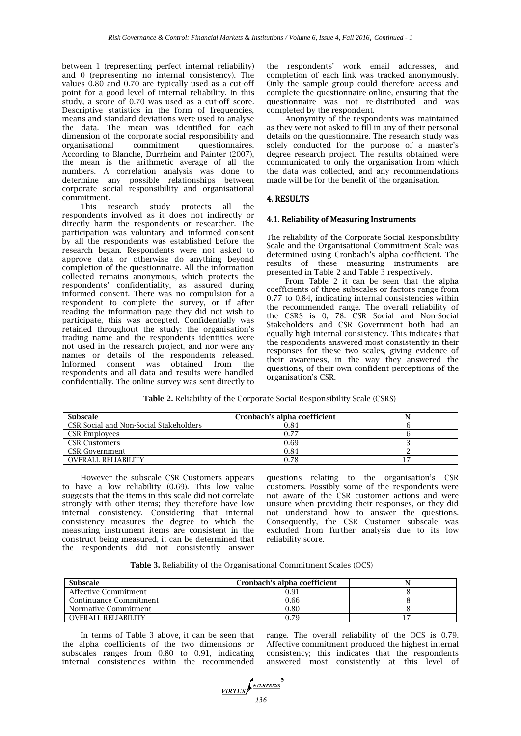between 1 (representing perfect internal reliability) and 0 (representing no internal consistency). The values 0.80 and 0.70 are typically used as a cut-off point for a good level of internal reliability. In this study, a score of 0.70 was used as a cut-off score. Descriptive statistics in the form of frequencies, means and standard deviations were used to analyse the data. The mean was identified for each dimension of the corporate social responsibility and organisational commitment questionnaires. According to Blanche, Durrheim and Painter (2007), the mean is the arithmetic average of all the numbers. A correlation analysis was done to determine any possible relationships between corporate social responsibility and organisational commitment.

This research study protects all the respondents involved as it does not indirectly or directly harm the respondents or researcher. The participation was voluntary and informed consent by all the respondents was established before the research began. Respondents were not asked to approve data or otherwise do anything beyond completion of the questionnaire. All the information collected remains anonymous, which protects the respondents' confidentiality, as assured during informed consent. There was no compulsion for a respondent to complete the survey, or if after reading the information page they did not wish to participate, this was accepted. Confidentially was retained throughout the study: the organisation's trading name and the respondents identities were not used in the research project, and nor were any names or details of the respondents released. Informed consent was obtained from the respondents and all data and results were handled confidentially. The online survey was sent directly to

the respondents' work email addresses, and completion of each link was tracked anonymously. Only the sample group could therefore access and complete the questionnaire online, ensuring that the questionnaire was not re-distributed and was completed by the respondent.

Anonymity of the respondents was maintained as they were not asked to fill in any of their personal details on the questionnaire. The research study was solely conducted for the purpose of a master's degree research project. The results obtained were communicated to only the organisation from which the data was collected, and any recommendations made will be for the benefit of the organisation.

# 4. RESULTS

## 4.1. Reliability of Measuring Instruments

The reliability of the Corporate Social Responsibility Scale and the Organisational Commitment Scale was determined using Cronbach's alpha coefficient. The results of these measuring instruments are presented in Table 2 and Table 3 respectively.

From Table 2 it can be seen that the alpha coefficients of three subscales or factors range from 0.77 to 0.84, indicating internal consistencies within the recommended range. The overall reliability of the CSRS is 0, 78. CSR Social and Non-Social Stakeholders and CSR Government both had an equally high internal consistency. This indicates that the respondents answered most consistently in their responses for these two scales, giving evidence of their awareness, in the way they answered the questions, of their own confident perceptions of the organisation's CSR.

| Table 2. Reliability of the Corporate Social Responsibility Scale (CSRS) |
|--------------------------------------------------------------------------|
|--------------------------------------------------------------------------|

| <b>Subscale</b>                        | Cronbach's alpha coefficient |  |
|----------------------------------------|------------------------------|--|
| CSR Social and Non-Social Stakeholders | 0.84                         |  |
| <b>CSR Employees</b>                   | 0.77                         |  |
| CSR Customers                          | 0.69                         |  |
| <b>CSR</b> Government                  | 0.84                         |  |
| <b>OVERALL RELIABILITY</b>             | 0.78                         |  |

However the subscale CSR Customers appears to have a low reliability (0.69). This low value suggests that the items in this scale did not correlate strongly with other items; they therefore have low internal consistency. Considering that internal consistency measures the degree to which the measuring instrument items are consistent in the construct being measured, it can be determined that the respondents did not consistently answer

questions relating to the organisation's CSR customers. Possibly some of the respondents were not aware of the CSR customer actions and were unsure when providing their responses, or they did not understand how to answer the questions. Consequently, the CSR Customer subscale was excluded from further analysis due to its low reliability score.

**Table 3.** Reliability of the Organisational Commitment Scales (OCS)

| <b>Subscale</b>            | Cronbach's alpha coefficient |  |
|----------------------------|------------------------------|--|
| Affective Commitment       | 0.91                         |  |
| Continuance Commitment     | 0.66                         |  |
| Normative Commitment       | 0.80                         |  |
| <b>OVERALL RELIABILITY</b> | ).79                         |  |

In terms of Table 3 above, it can be seen that the alpha coefficients of the two dimensions or subscales ranges from 0.80 to 0.91, indicating internal consistencies within the recommended range. The overall reliability of the OCS is 0.79. Affective commitment produced the highest internal consistency; this indicates that the respondents answered most consistently at this level of

**VIRTUS** MERPRESS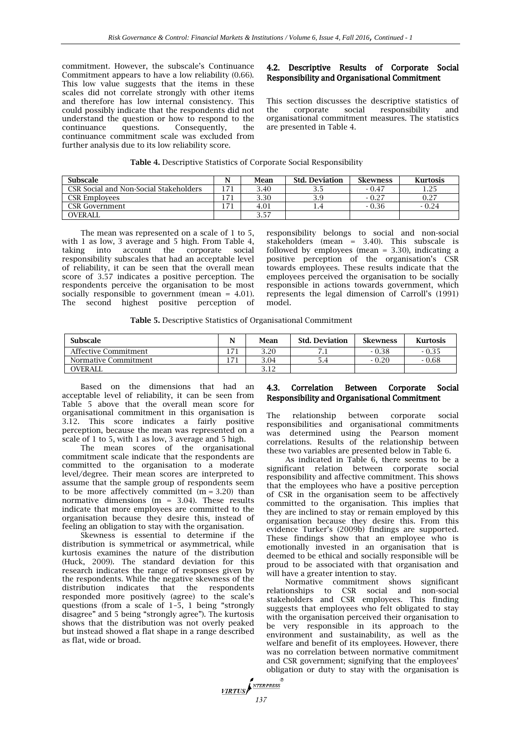commitment. However, the subscale's Continuance Commitment appears to have a low reliability (0.66). This low value suggests that the items in these scales did not correlate strongly with other items and therefore has low internal consistency. This could possibly indicate that the respondents did not understand the question or how to respond to the continuance questions. Consequently, the continuance commitment scale was excluded from further analysis due to its low reliability score.

# 4.2. Descriptive Results of Corporate Social Responsibility and Organisational Commitment

This section discusses the descriptive statistics of the corporate social responsibility and organisational commitment measures. The statistics are presented in Table 4.

| Table 4. Descriptive Statistics of Corporate Social Responsibility |  |  |
|--------------------------------------------------------------------|--|--|
|                                                                    |  |  |

| <b>Subscale</b>                        | Mean | <b>Std. Deviation</b> | <b>Skewness</b> | Kurtosis |
|----------------------------------------|------|-----------------------|-----------------|----------|
| CSR Social and Non-Social Stakeholders | 3.40 | 3.5                   | $-0.47$         |          |
| CSR Employees                          | 3.30 | 3.9                   | $-0.27$         | 0.27     |
| CSR Government                         | 4.01 |                       | $-0.36$         | $-0.24$  |
| <b>OVERALL</b>                         | 3.57 |                       |                 |          |

The mean was represented on a scale of 1 to 5, with 1 as low, 3 average and 5 high. From Table 4, taking into account the corporate social responsibility subscales that had an acceptable level of reliability, it can be seen that the overall mean score of 3.57 indicates a positive perception. The respondents perceive the organisation to be most socially responsible to government (mean  $= 4.01$ ). The second highest positive perception of

responsibility belongs to social and non-social stakeholders (mean = 3.40). This subscale is followed by employees (mean  $=$  3.30), indicating a positive perception of the organisation's CSR towards employees. These results indicate that the employees perceived the organisation to be socially responsible in actions towards government, which represents the legal dimension of Carroll's (1991) model.

**Table 5.** Descriptive Statistics of Organisational Commitment

| <b>Subscale</b>      | N             | Mean         | <b>Std. Deviation</b> | <b>Skewness</b> | <b>Kurtosis</b> |
|----------------------|---------------|--------------|-----------------------|-----------------|-----------------|
| Affective Commitment | $\rightarrow$ | 3.20         |                       | $-0.38$         | $-0.35$         |
| Normative Commitment | $\rightarrow$ | 3.04         | ه. د                  | $-0.20$         | $-0.68$         |
| <b>OVERALL</b>       |               | רי ר<br>J.IL |                       |                 |                 |

Based on the dimensions that had an acceptable level of reliability, it can be seen from Table 5 above that the overall mean score for organisational commitment in this organisation is 3.12. This score indicates a fairly positive perception, because the mean was represented on a scale of 1 to 5, with 1 as low, 3 average and 5 high.

The mean scores of the organisational commitment scale indicate that the respondents are committed to the organisation to a moderate level/degree. Their mean scores are interpreted to assume that the sample group of respondents seem to be more affectively committed  $(m = 3.20)$  than normative dimensions ( $m = 3.04$ ). These results indicate that more employees are committed to the organisation because they desire this, instead of feeling an obligation to stay with the organisation.

Skewness is essential to determine if the distribution is symmetrical or asymmetrical, while kurtosis examines the nature of the distribution (Huck, 2009). The standard deviation for this research indicates the range of responses given by the respondents. While the negative skewness of the distribution indicates that the respondents responded more positively (agree) to the scale's questions (from a scale of 1–5, 1 being "strongly disagree" and 5 being "strongly agree"). The kurtosis shows that the distribution was not overly peaked but instead showed a flat shape in a range described as flat, wide or broad.

# 4.3. Correlation Between Corporate Social Responsibility and Organisational Commitment

The relationship between corporate social responsibilities and organisational commitments was determined using the Pearson moment correlations. Results of the relationship between these two variables are presented below in Table 6.

As indicated in Table 6, there seems to be a significant relation between corporate social responsibility and affective commitment. This shows that the employees who have a positive perception of CSR in the organisation seem to be affectively committed to the organisation. This implies that they are inclined to stay or remain employed by this organisation because they desire this. From this evidence Turker's (2009b) findings are supported. These findings show that an employee who is emotionally invested in an organisation that is deemed to be ethical and socially responsible will be proud to be associated with that organisation and will have a greater intention to stay.

Normative commitment shows significant relationships to CSR social and stakeholders and CSR employees. This finding suggests that employees who felt obligated to stay with the organisation perceived their organisation to be very responsible in its approach to the environment and sustainability, as well as the welfare and benefit of its employees. However, there was no correlation between normative commitment and CSR government; signifying that the employees' obligation or duty to stay with the organisation is

**VIRTUS**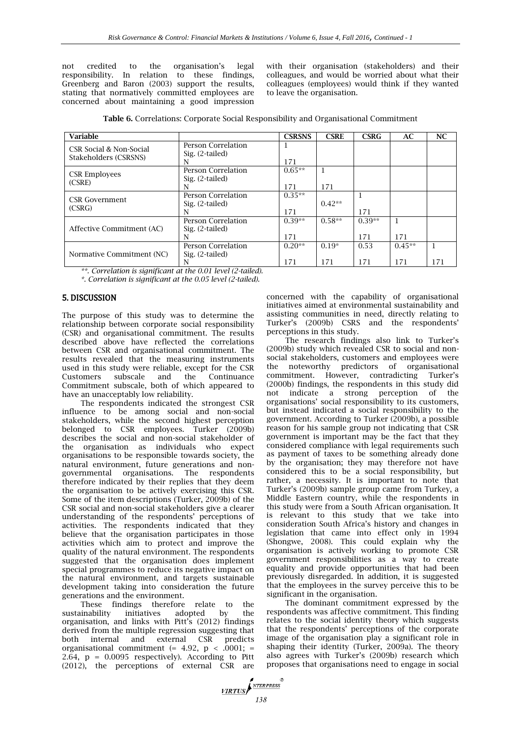not credited to the organisation's legal responsibility. In relation to these findings, Greenberg and Baron (2003) support the results, stating that normatively committed employees are concerned about maintaining a good impression with their organisation (stakeholders) and their colleagues, and would be worried about what their colleagues (employees) would think if they wanted to leave the organisation.

**Table 6.** Correlations: Corporate Social Responsibility and Organisational Commitment

| <b>Variable</b>                                  |                                       | <b>CSRSNS</b> | <b>CSRE</b> | <b>CSRG</b> | AC       | <b>NC</b> |
|--------------------------------------------------|---------------------------------------|---------------|-------------|-------------|----------|-----------|
| CSR Social & Non-Social<br>Stakeholders (CSRSNS) | Person Correlation<br>Sig. (2-tailed) | T             |             |             |          |           |
|                                                  | N                                     | 171           |             |             |          |           |
| <b>CSR Employees</b>                             | Person Correlation<br>Sig. (2-tailed) | $0.65**$      |             |             |          |           |
| (CSRE)                                           |                                       | 171           | 171         |             |          |           |
| <b>CSR</b> Government                            | <b>Person Correlation</b>             | $0.35**$      |             |             |          |           |
| (CSRG)                                           | Sig. (2-tailed)                       |               | $0.42**$    |             |          |           |
|                                                  |                                       | 171           |             | 171         |          |           |
|                                                  | Person Correlation                    | $0.39**$      | $0.58**$    | $0.39**$    |          |           |
| Affective Commitment (AC)                        | Sig. (2-tailed)                       |               |             |             |          |           |
|                                                  |                                       | 171           |             | 171         | 171      |           |
|                                                  | <b>Person Correlation</b>             | $0.20**$      | $0.19*$     | 0.53        | $0.45**$ | 1         |
| Normative Commitment (NC)                        | Sig. (2-tailed)                       |               |             |             |          |           |
|                                                  | N                                     | 171           | 171         | 171         | 171      | 171       |

*\*\*. Correlation is significant at the 0.01 level (2-tailed).*

*\*. Correlation is significant at the 0.05 level (2-tailed).*

## 5. DISCUSSION

The purpose of this study was to determine the relationship between corporate social responsibility (CSR) and organisational commitment. The results described above have reflected the correlations between CSR and organisational commitment. The results revealed that the measuring instruments used in this study were reliable, except for the CSR Customers subscale and the Continuance Commitment subscale, both of which appeared to have an unacceptably low reliability.

The respondents indicated the strongest CSR influence to be among social and non-social stakeholders, while the second highest perception belonged to CSR employees. Turker (2009b) describes the social and non-social stakeholder of the organisation as individuals who expect organisations to be responsible towards society, the natural environment, future generations and nongovernmental organisations. The respondents therefore indicated by their replies that they deem the organisation to be actively exercising this CSR. Some of the item descriptions (Turker, 2009b) of the CSR social and non-social stakeholders give a clearer understanding of the respondents' perceptions of activities. The respondents indicated that they believe that the organisation participates in those activities which aim to protect and improve the quality of the natural environment. The respondents suggested that the organisation does implement special programmes to reduce its negative impact on the natural environment, and targets sustainable development taking into consideration the future generations and the environment.

These findings therefore relate to the sustainability initiatives adopted by the organisation, and links with Pitt's (2012) findings derived from the multiple regression suggesting that both internal and external CSR predicts organisational commitment (= 4.92,  $p < .0001$ ; = 2.64,  $p = 0.0095$  respectively). According to Pitt (2012), the perceptions of external CSR are concerned with the capability of organisational initiatives aimed at environmental sustainability and assisting communities in need, directly relating to Turker's (2009b) CSRS and the respondents' perceptions in this study.

The research findings also link to Turker's (2009b) study which revealed CSR to social and nonsocial stakeholders, customers and employees were the noteworthy predictors of organisational commitment. However, contradicting Turker's (2000b) findings, the respondents in this study did not indicate a strong perception of the organisations' social responsibility to its customers, but instead indicated a social responsibility to the government. According to Turker (2009b), a possible reason for his sample group not indicating that CSR government is important may be the fact that they considered compliance with legal requirements such as payment of taxes to be something already done by the organisation; they may therefore not have considered this to be a social responsibility, but rather, a necessity. It is important to note that Turker's (2009b) sample group came from Turkey, a Middle Eastern country, while the respondents in this study were from a South African organisation. It is relevant to this study that we take into consideration South Africa's history and changes in legislation that came into effect only in 1994 (Shongwe, 2008). This could explain why the organisation is actively working to promote CSR government responsibilities as a way to create equality and provide opportunities that had been previously disregarded. In addition, it is suggested that the employees in the survey perceive this to be significant in the organisation.

The dominant commitment expressed by the respondents was affective commitment. This finding relates to the social identity theory which suggests that the respondents' perceptions of the corporate image of the organisation play a significant role in shaping their identity (Turker, 2009a). The theory also agrees with Turker's (2009b) research which proposes that organisations need to engage in social

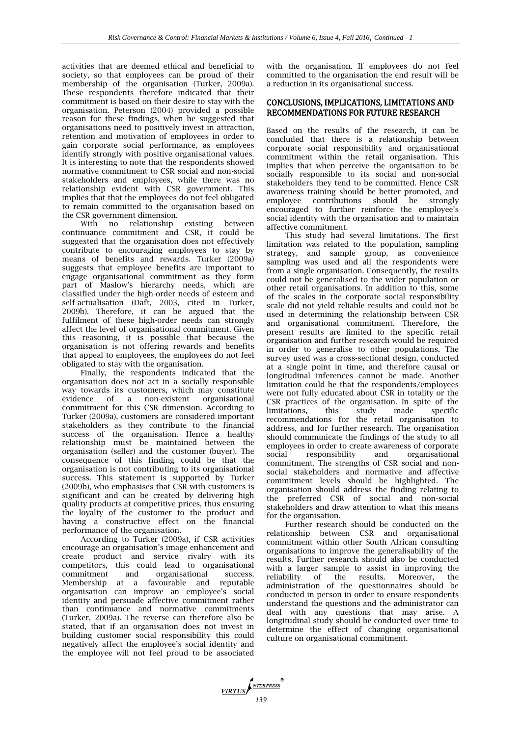activities that are deemed ethical and beneficial to society, so that employees can be proud of their membership of the organisation (Turker, 2009a). These respondents therefore indicated that their commitment is based on their desire to stay with the organisation. Peterson (2004) provided a possible reason for these findings, when he suggested that organisations need to positively invest in attraction, retention and motivation of employees in order to gain corporate social performance, as employees identify strongly with positive organisational values. It is interesting to note that the respondents showed normative commitment to CSR social and non-social stakeholders and employees, while there was no relationship evident with CSR government. This implies that that the employees do not feel obligated to remain committed to the organisation based on the CSR government dimension.

With no relationship existing between continuance commitment and CSR, it could be suggested that the organisation does not effectively contribute to encouraging employees to stay by means of benefits and rewards. Turker (2009a) suggests that employee benefits are important to engage organisational commitment as they form part of Maslow's hierarchy needs, which are classified under the high-order needs of esteem and self-actualisation (Daft, 2003, cited in Turker, 2009b). Therefore, it can be argued that the fulfilment of these high-order needs can strongly affect the level of organisational commitment. Given this reasoning, it is possible that because the organisation is not offering rewards and benefits that appeal to employees, the employees do not feel obligated to stay with the organisation.

Finally, the respondents indicated that the organisation does not act in a socially responsible way towards its customers, which may constitute evidence of a non-existent organisational commitment for this CSR dimension. According to Turker (2009a), customers are considered important stakeholders as they contribute to the financial success of the organisation. Hence a healthy relationship must be maintained between the organisation (seller) and the customer (buyer). The consequence of this finding could be that the organisation is not contributing to its organisational success. This statement is supported by Turker (2009b), who emphasises that CSR with customers is significant and can be created by delivering high quality products at competitive prices, thus ensuring the loyalty of the customer to the product and having a constructive effect on the financial performance of the organisation.

According to Turker (2009a), if CSR activities encourage an organisation's image enhancement and create product and service rivalry with its competitors, this could lead to organisational commitment and organisational success. Membership at a favourable and reputable organisation can improve an employee's social identity and persuade affective commitment rather than continuance and normative commitments (Turker, 2009a). The reverse can therefore also be stated, that if an organisation does not invest in building customer social responsibility this could negatively affect the employee's social identity and the employee will not feel proud to be associated

with the organisation. If employees do not feel committed to the organisation the end result will be a reduction in its organisational success.

# CONCLUSIONS, IMPLICATIONS, LIMITATIONS AND RECOMMENDATIONS FOR FUTURE RESEARCH

Based on the results of the research, it can be concluded that there is a relationship between corporate social responsibility and organisational commitment within the retail organisation. This implies that when perceive the organisation to be socially responsible to its social and non-social stakeholders they tend to be committed. Hence CSR awareness training should be better promoted, and employee contributions should be strongly encouraged to further reinforce the employee's social identity with the organisation and to maintain affective commitment.

This study had several limitations. The first limitation was related to the population, sampling strategy, and sample group, as convenience sampling was used and all the respondents were from a single organisation. Consequently, the results could not be generalised to the wider population or other retail organisations. In addition to this, some of the scales in the corporate social responsibility scale did not yield reliable results and could not be used in determining the relationship between CSR and organisational commitment. Therefore, the present results are limited to the specific retail organisation and further research would be required in order to generalise to other populations. The survey used was a cross-sectional design, conducted at a single point in time, and therefore causal or longitudinal inferences cannot be made. Another limitation could be that the respondents/employees were not fully educated about CSR in totality or the CSR practices of the organisation. In spite of the limitations, this study made specific recommendations for the retail organisation to address, and for further research. The organisation should communicate the findings of the study to all employees in order to create awareness of corporate social responsibility and organisational commitment. The strengths of CSR social and nonsocial stakeholders and normative and affective commitment levels should be highlighted. The organisation should address the finding relating to the preferred CSR of social and non-social stakeholders and draw attention to what this means for the organisation.

Further research should be conducted on the relationship between CSR and organisational commitment within other South African consulting organisations to improve the generalisability of the results. Further research should also be conducted with a larger sample to assist in improving the reliability of the results. Moreover, the administration of the questionnaires should be conducted in person in order to ensure respondents understand the questions and the administrator can deal with any questions that may arise. A longitudinal study should be conducted over time to determine the effect of changing organisational culture on organisational commitment.